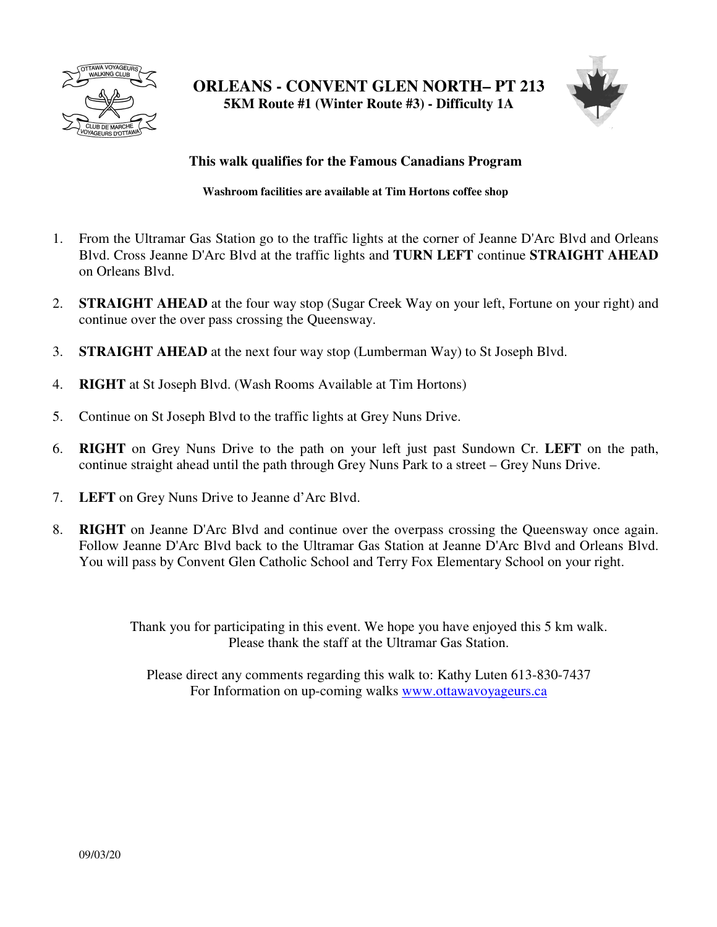

**ORLEANS - CONVENT GLEN NORTH– PT 213 5KM Route #1 (Winter Route #3) - Difficulty 1A** 



## **This walk qualifies for the Famous Canadians Program**

**Washroom facilities are available at Tim Hortons coffee shop** 

- 1. From the Ultramar Gas Station go to the traffic lights at the corner of Jeanne D'Arc Blvd and Orleans Blvd. Cross Jeanne D'Arc Blvd at the traffic lights and **TURN LEFT** continue **STRAIGHT AHEAD**  on Orleans Blvd.
- 2. **STRAIGHT AHEAD** at the four way stop (Sugar Creek Way on your left, Fortune on your right) and continue over the over pass crossing the Queensway.
- 3. **STRAIGHT AHEAD** at the next four way stop (Lumberman Way) to St Joseph Blvd.
- 4. **RIGHT** at St Joseph Blvd. (Wash Rooms Available at Tim Hortons)
- 5. Continue on St Joseph Blvd to the traffic lights at Grey Nuns Drive.
- 6. **RIGHT** on Grey Nuns Drive to the path on your left just past Sundown Cr. **LEFT** on the path, continue straight ahead until the path through Grey Nuns Park to a street – Grey Nuns Drive.
- 7. **LEFT** on Grey Nuns Drive to Jeanne d'Arc Blvd.
- 8. **RIGHT** on Jeanne D'Arc Blvd and continue over the overpass crossing the Queensway once again. Follow Jeanne D'Arc Blvd back to the Ultramar Gas Station at Jeanne D'Arc Blvd and Orleans Blvd. You will pass by Convent Glen Catholic School and Terry Fox Elementary School on your right.

Thank you for participating in this event. We hope you have enjoyed this 5 km walk. Please thank the staff at the Ultramar Gas Station.

Please direct any comments regarding this walk to: Kathy Luten 613-830-7437 For Information on up-coming walks www.ottawavoyageurs.ca